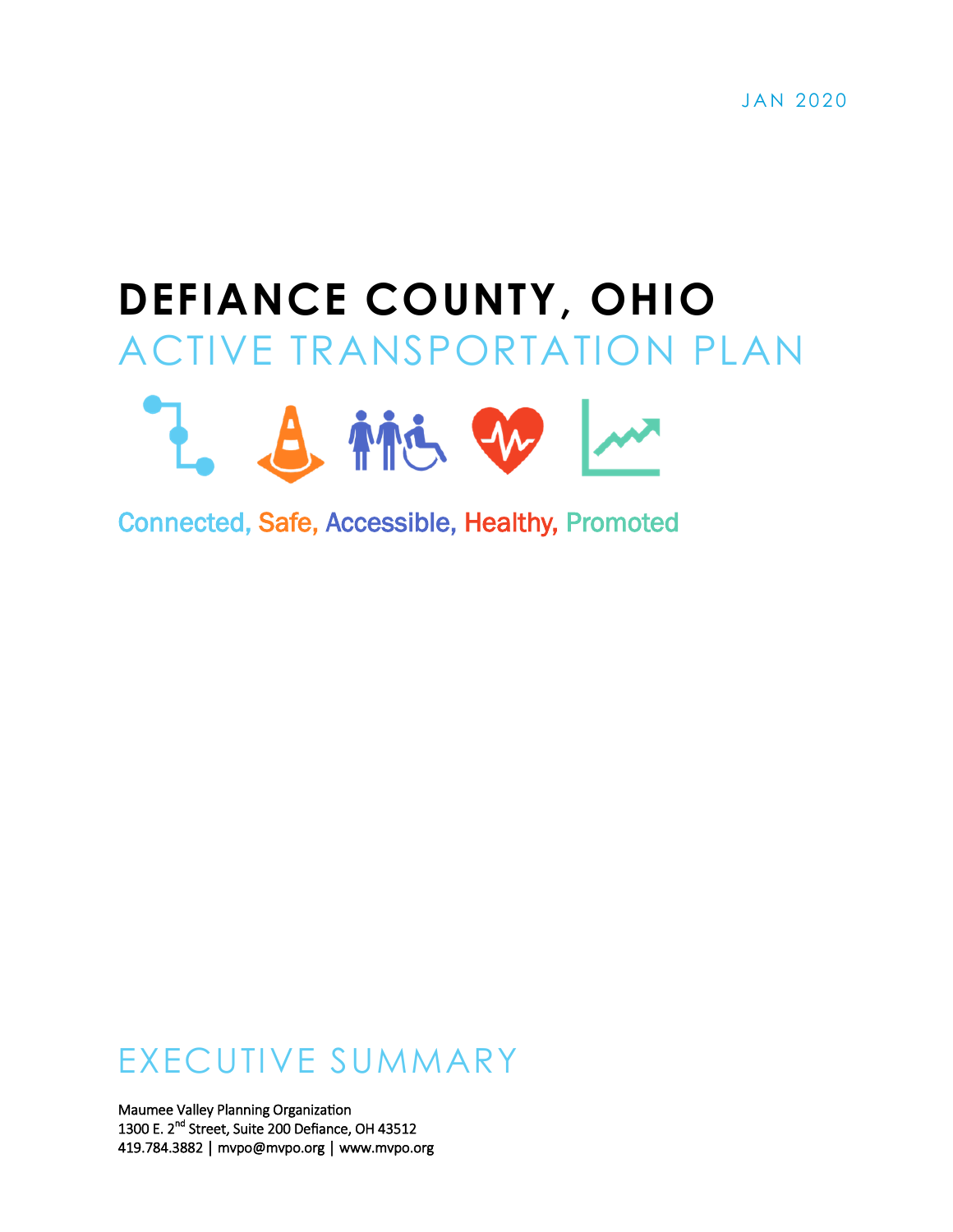# **DEFIANCE COUNTY, OHIO** ACTIVE TRANSPORTATION PLAN



Connected, Safe, Accessible, Healthy, Promoted

# EXECUTIVE SUMMARY

Maumee Valley Planning Organization 1300 E. 2<sup>nd</sup> Street, Suite 200 Defiance, OH 43512 419.784.3882 │ mvpo@mvpo.org │ www.mvpo.org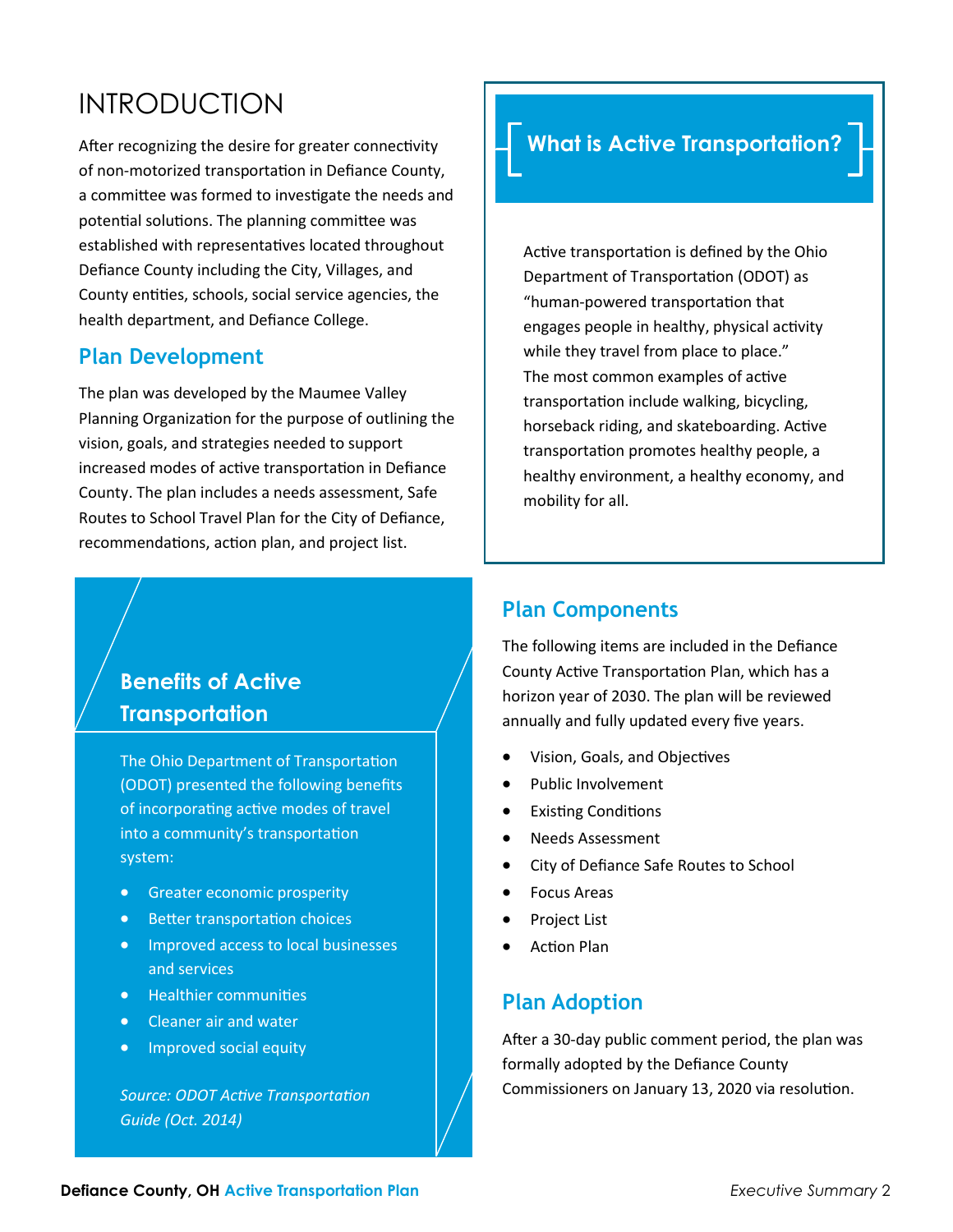# INTRODUCTION

After recognizing the desire for greater connectivity of non-motorized transportation in Defiance County, a committee was formed to investigate the needs and potential solutions. The planning committee was established with representatives located throughout Defiance County including the City, Villages, and County entities, schools, social service agencies, the health department, and Defiance College.

#### **Plan Development**

The plan was developed by the Maumee Valley Planning Organization for the purpose of outlining the vision, goals, and strategies needed to support increased modes of active transportation in Defiance County. The plan includes a needs assessment, Safe Routes to School Travel Plan for the City of Defiance, recommendations, action plan, and project list.

# **What is Active Transportation?**

Active transportation is defined by the Ohio Department of Transportation (ODOT) as "human-powered transportation that engages people in healthy, physical activity while they travel from place to place." The most common examples of active transportation include walking, bicycling, horseback riding, and skateboarding. Active transportation promotes healthy people, a healthy environment, a healthy economy, and mobility for all.

## **Benefits of Active Transportation**

The Ohio Department of Transportation (ODOT) presented the following benefits of incorporating active modes of travel into a community's transportation system:

- Greater economic prosperity
- Better transportation choices
- Improved access to local businesses and services
- Healthier communities
- Cleaner air and water
- Improved social equity

*Source: ODOT Active Transportation Guide (Oct. 2014)*

#### **Plan Components**

The following items are included in the Defiance County Active Transportation Plan, which has a horizon year of 2030. The plan will be reviewed annually and fully updated every five years.

- Vision, Goals, and Objectives
- Public Involvement
- Existing Conditions
- Needs Assessment
- City of Defiance Safe Routes to School
- Focus Areas
- Project List
- Action Plan

#### **Plan Adoption**

After a 30-day public comment period, the plan was formally adopted by the Defiance County Commissioners on January 13, 2020 via resolution.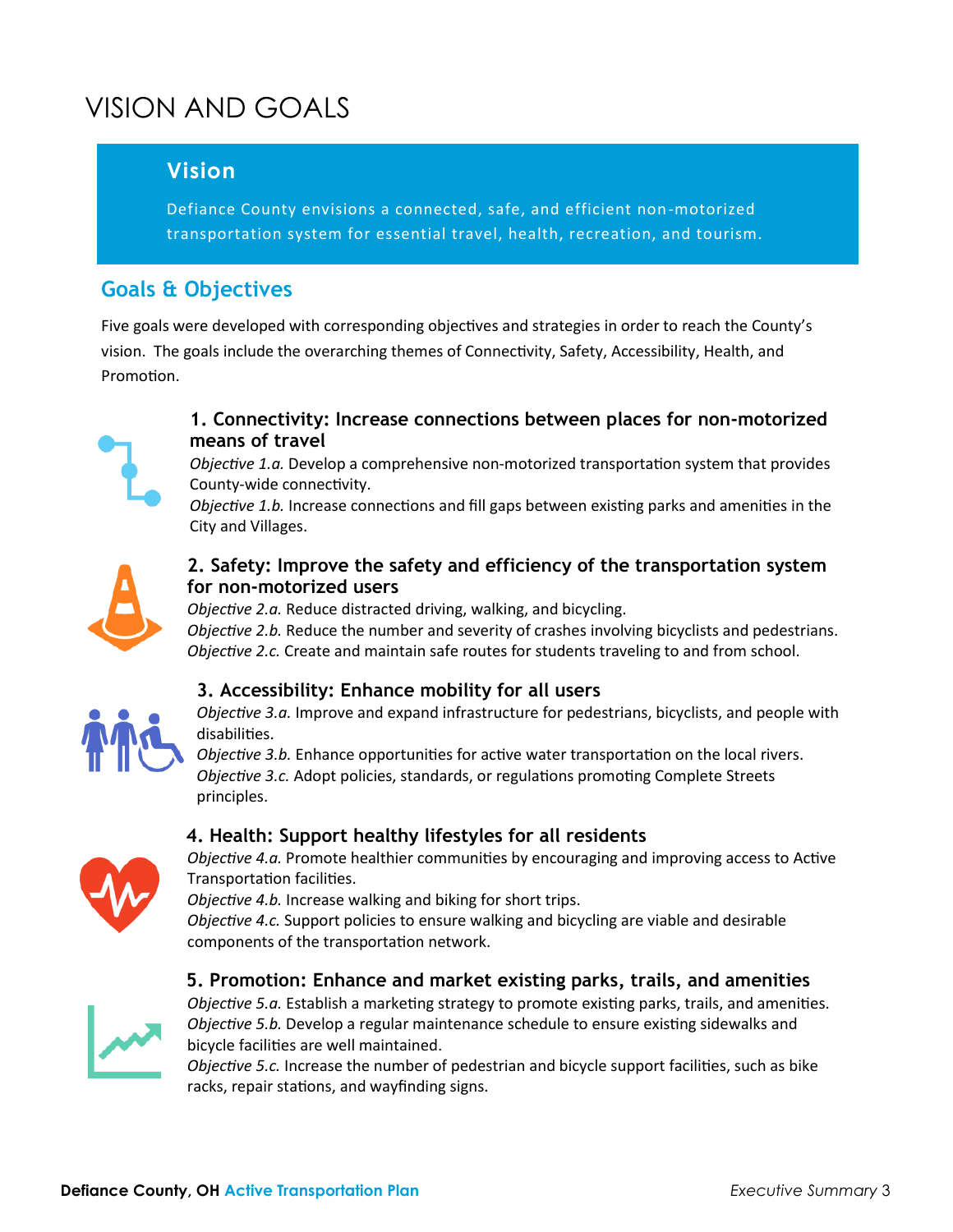# VISION AND GOALS

### **Vision**

Defiance County envisions a connected, safe, and efficient non-motorized transportation system for essential travel, health, recreation, and tourism.

## **Goals & Objectives**

Five goals were developed with corresponding objectives and strategies in order to reach the County's vision. The goals include the overarching themes of Connectivity, Safety, Accessibility, Health, and Promotion.



#### **1. Connectivity: Increase connections between places for non-motorized means of travel**

*Objective 1.a.* Develop a comprehensive non-motorized transportation system that provides County-wide connectivity.

*Objective 1.b.* Increase connections and fill gaps between existing parks and amenities in the City and Villages.



#### **2. Safety: Improve the safety and efficiency of the transportation system for non-motorized users**

*Objective 2.a.* Reduce distracted driving, walking, and bicycling.

*Objective 2.b.* Reduce the number and severity of crashes involving bicyclists and pedestrians. *Objective 2.c.* Create and maintain safe routes for students traveling to and from school.



#### **3. Accessibility: Enhance mobility for all users**

*Objective 3.a.* Improve and expand infrastructure for pedestrians, bicyclists, and people with disabilities.

*Objective 3.b.* Enhance opportunities for active water transportation on the local rivers. *Objective 3.c.* Adopt policies, standards, or regulations promoting Complete Streets principles.

#### **4. Health: Support healthy lifestyles for all residents**



*Objective 4.a.* Promote healthier communities by encouraging and improving access to Active Transportation facilities.

*Objective 4.b.* Increase walking and biking for short trips.

*Objective 4.c.* Support policies to ensure walking and bicycling are viable and desirable components of the transportation network.



#### **5. Promotion: Enhance and market existing parks, trails, and amenities**

*Objective 5.a.* Establish a marketing strategy to promote existing parks, trails, and amenities. *Objective 5.b.* Develop a regular maintenance schedule to ensure existing sidewalks and bicycle facilities are well maintained.

*Objective 5.c.* Increase the number of pedestrian and bicycle support facilities, such as bike racks, repair stations, and wayfinding signs.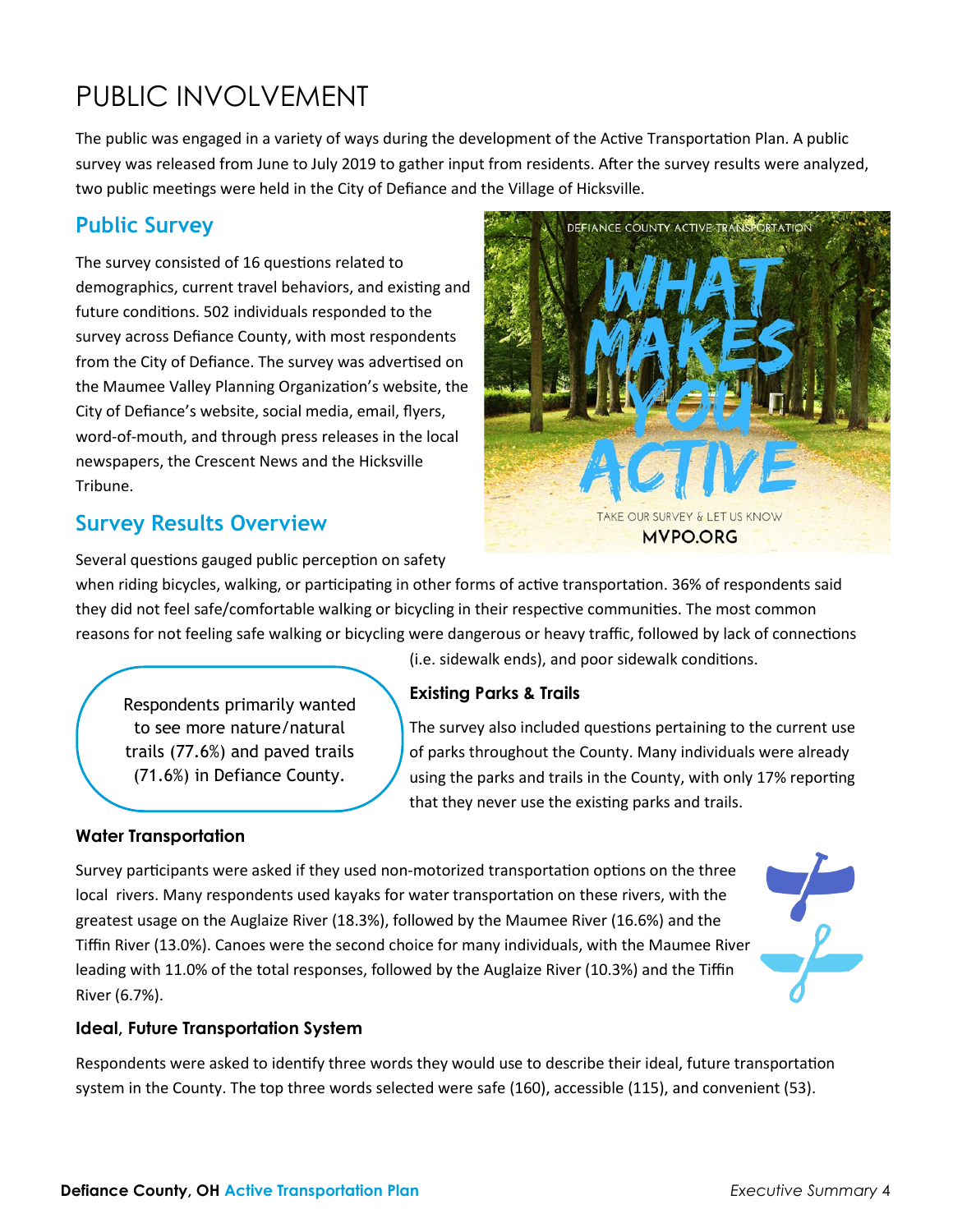# PUBLIC INVOLVEMENT

The public was engaged in a variety of ways during the development of the Active Transportation Plan. A public survey was released from June to July 2019 to gather input from residents. After the survey results were analyzed, two public meetings were held in the City of Defiance and the Village of Hicksville.

### **Public Survey**

The survey consisted of 16 questions related to demographics, current travel behaviors, and existing and future conditions. 502 individuals responded to the survey across Defiance County, with most respondents from the City of Defiance. The survey was advertised on the Maumee Valley Planning Organization's website, the City of Defiance's website, social media, email, flyers, word-of-mouth, and through press releases in the local newspapers, the Crescent News and the Hicksville Tribune.

#### **Survey Results Overview**

Several questions gauged public perception on safety

when riding bicycles, walking, or participating in other forms of active transportation. 36% of respondents said they did not feel safe/comfortable walking or bicycling in their respective communities. The most common reasons for not feeling safe walking or bicycling were dangerous or heavy traffic, followed by lack of connections

> (i.e. sidewalk ends), and poor sidewalk conditions. **Existing Parks & Trails**

Respondents primarily wanted to see more nature/natural trails (77.6%) and paved trails (71.6%) in Defiance County.

The survey also included questions pertaining to the current use of parks throughout the County. Many individuals were already using the parks and trails in the County, with only 17% reporting that they never use the existing parks and trails.

**TAKE OUR SURVEY &** 

**MVPO.ORG** 

DEFIANCE COUNTY ACTIVE TRANSPORTATION

#### **Water Transportation**

Survey participants were asked if they used non-motorized transportation options on the three local rivers. Many respondents used kayaks for water transportation on these rivers, with the greatest usage on the Auglaize River (18.3%), followed by the Maumee River (16.6%) and the Tiffin River (13.0%). Canoes were the second choice for many individuals, with the Maumee River leading with 11.0% of the total responses, followed by the Auglaize River (10.3%) and the Tiffin River (6.7%).



#### **Ideal, Future Transportation System**

Respondents were asked to identify three words they would use to describe their ideal, future transportation system in the County. The top three words selected were safe (160), accessible (115), and convenient (53).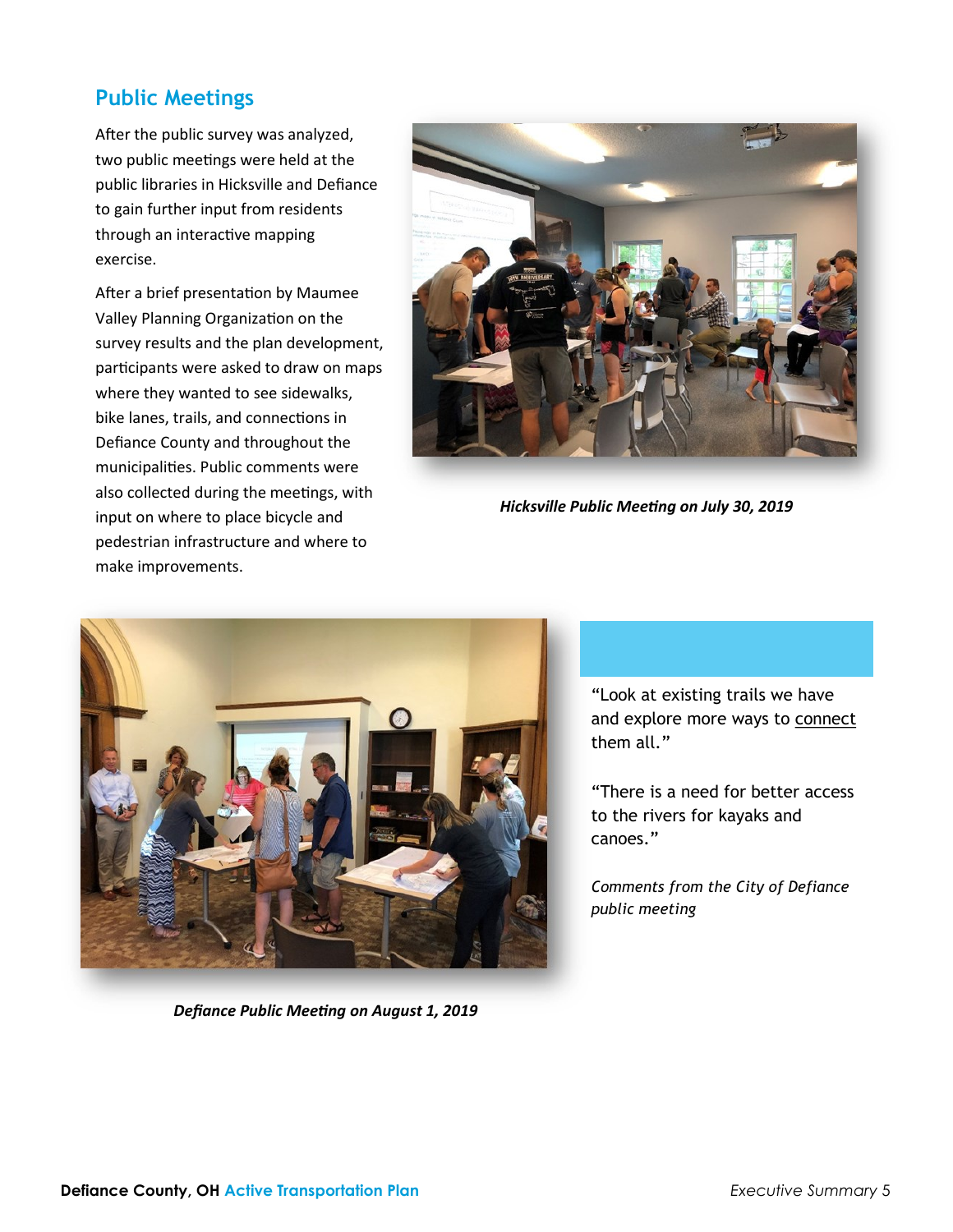#### **Public Meetings**

After the public survey was analyzed, two public meetings were held at the public libraries in Hicksville and Defiance to gain further input from residents through an interactive mapping exercise.

After a brief presentation by Maumee Valley Planning Organization on the survey results and the plan development, participants were asked to draw on maps where they wanted to see sidewalks, bike lanes, trails, and connections in Defiance County and throughout the municipalities. Public comments were also collected during the meetings, with input on where to place bicycle and pedestrian infrastructure and where to make improvements.



*Hicksville Public Meeting on July 30, 2019*



*Defiance Public Meeting on August 1, 2019*

"Look at existing trails we have and explore more ways to connect them all."

"There is a need for better access to the rivers for kayaks and canoes."

*Comments from the City of Defiance public meeting*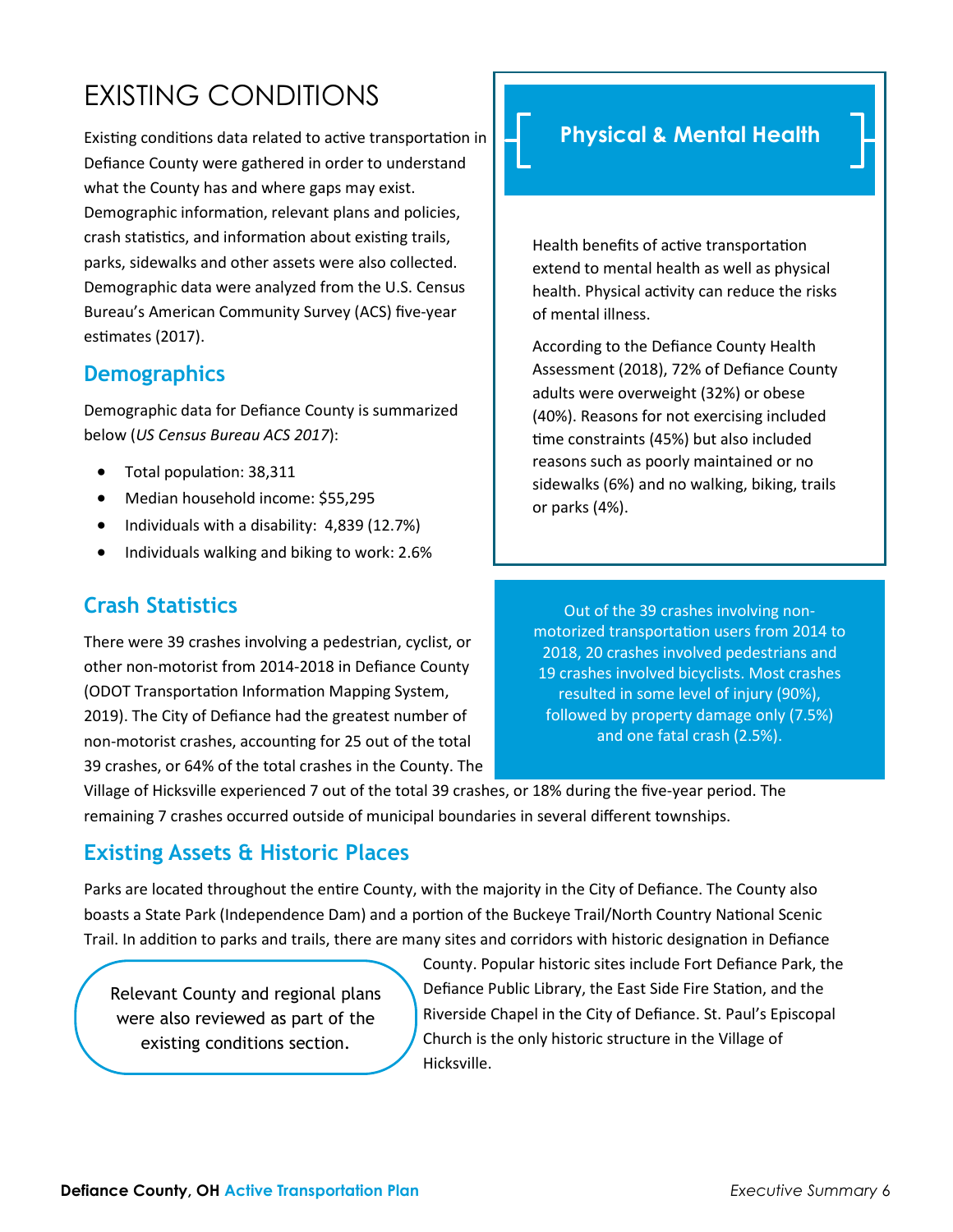# EXISTING CONDITIONS

Existing conditions data related to active transportation in Defiance County were gathered in order to understand what the County has and where gaps may exist. Demographic information, relevant plans and policies, crash statistics, and information about existing trails, parks, sidewalks and other assets were also collected. Demographic data were analyzed from the U.S. Census Bureau's American Community Survey (ACS) five-year estimates (2017).

### **Demographics**

Demographic data for Defiance County is summarized below (*US Census Bureau ACS 2017*):

- Total population: 38,311
- Median household income: \$55,295
- Individuals with a disability: 4,839 (12.7%)
- Individuals walking and biking to work: 2.6%

# **Crash Statistics**

There were 39 crashes involving a pedestrian, cyclist, or other non-motorist from 2014-2018 in Defiance County (ODOT Transportation Information Mapping System, 2019). The City of Defiance had the greatest number of non-motorist crashes, accounting for 25 out of the total 39 crashes, or 64% of the total crashes in the County. The

# **Physical & Mental Health**

Health benefits of active transportation extend to mental health as well as physical health. Physical activity can reduce the risks of mental illness.

According to the Defiance County Health Assessment (2018), 72% of Defiance County adults were overweight (32%) or obese (40%). Reasons for not exercising included time constraints (45%) but also included reasons such as poorly maintained or no sidewalks (6%) and no walking, biking, trails or parks (4%).

Out of the 39 crashes involving nonmotorized transportation users from 2014 to 2018, 20 crashes involved pedestrians and 19 crashes involved bicyclists. Most crashes resulted in some level of injury (90%), followed by property damage only (7.5%) and one fatal crash (2.5%).

Village of Hicksville experienced 7 out of the total 39 crashes, or 18% during the five-year period. The remaining 7 crashes occurred outside of municipal boundaries in several different townships.

### **Existing Assets & Historic Places**

Parks are located throughout the entire County, with the majority in the City of Defiance. The County also boasts a State Park (Independence Dam) and a portion of the Buckeye Trail/North Country National Scenic Trail. In addition to parks and trails, there are many sites and corridors with historic designation in Defiance

Relevant County and regional plans were also reviewed as part of the existing conditions section.

County. Popular historic sites include Fort Defiance Park, the Defiance Public Library, the East Side Fire Station, and the Riverside Chapel in the City of Defiance. St. Paul's Episcopal Church is the only historic structure in the Village of Hicksville.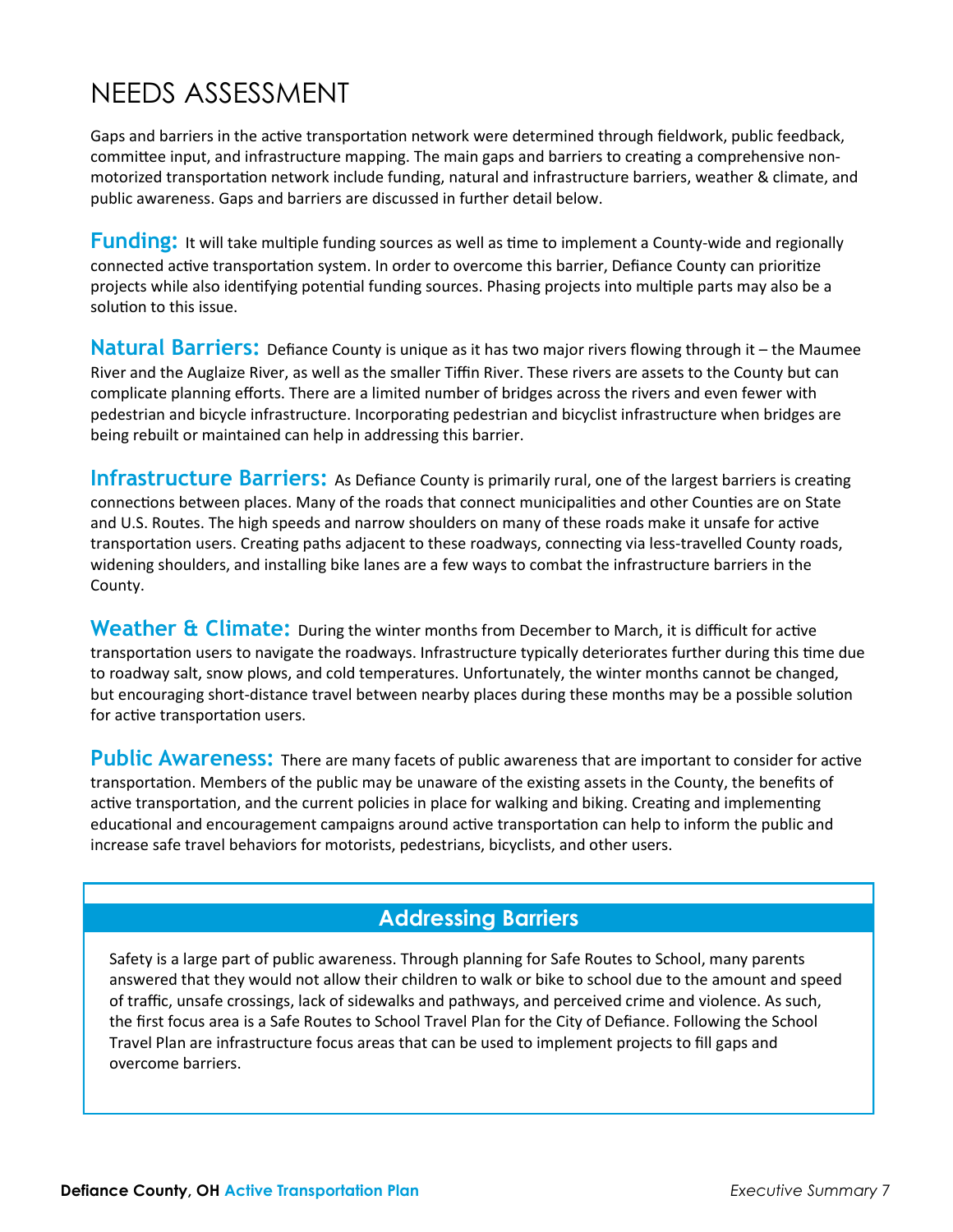# NEEDS ASSESSMENT

Gaps and barriers in the active transportation network were determined through fieldwork, public feedback, committee input, and infrastructure mapping. The main gaps and barriers to creating a comprehensive nonmotorized transportation network include funding, natural and infrastructure barriers, weather & climate, and public awareness. Gaps and barriers are discussed in further detail below.

**Funding:** It will take multiple funding sources as well as time to implement a County-wide and regionally connected active transportation system. In order to overcome this barrier, Defiance County can prioritize projects while also identifying potential funding sources. Phasing projects into multiple parts may also be a solution to this issue.

**Natural Barriers:** Defiance County is unique as it has two major rivers flowing through it – the Maumee River and the Auglaize River, as well as the smaller Tiffin River. These rivers are assets to the County but can complicate planning efforts. There are a limited number of bridges across the rivers and even fewer with pedestrian and bicycle infrastructure. Incorporating pedestrian and bicyclist infrastructure when bridges are being rebuilt or maintained can help in addressing this barrier.

**Infrastructure Barriers:** As Defiance County is primarily rural, one of the largest barriers is creating connections between places. Many of the roads that connect municipalities and other Counties are on State and U.S. Routes. The high speeds and narrow shoulders on many of these roads make it unsafe for active transportation users. Creating paths adjacent to these roadways, connecting via less-travelled County roads, widening shoulders, and installing bike lanes are a few ways to combat the infrastructure barriers in the County.

Weather & Climate: During the winter months from December to March, it is difficult for active transportation users to navigate the roadways. Infrastructure typically deteriorates further during this time due to roadway salt, snow plows, and cold temperatures. Unfortunately, the winter months cannot be changed, but encouraging short-distance travel between nearby places during these months may be a possible solution for active transportation users.

Public Awareness: There are many facets of public awareness that are important to consider for active transportation. Members of the public may be unaware of the existing assets in the County, the benefits of active transportation, and the current policies in place for walking and biking. Creating and implementing educational and encouragement campaigns around active transportation can help to inform the public and increase safe travel behaviors for motorists, pedestrians, bicyclists, and other users.

### **Addressing Barriers**

Safety is a large part of public awareness. Through planning for Safe Routes to School, many parents answered that they would not allow their children to walk or bike to school due to the amount and speed of traffic, unsafe crossings, lack of sidewalks and pathways, and perceived crime and violence. As such, the first focus area is a Safe Routes to School Travel Plan for the City of Defiance. Following the School Travel Plan are infrastructure focus areas that can be used to implement projects to fill gaps and overcome barriers.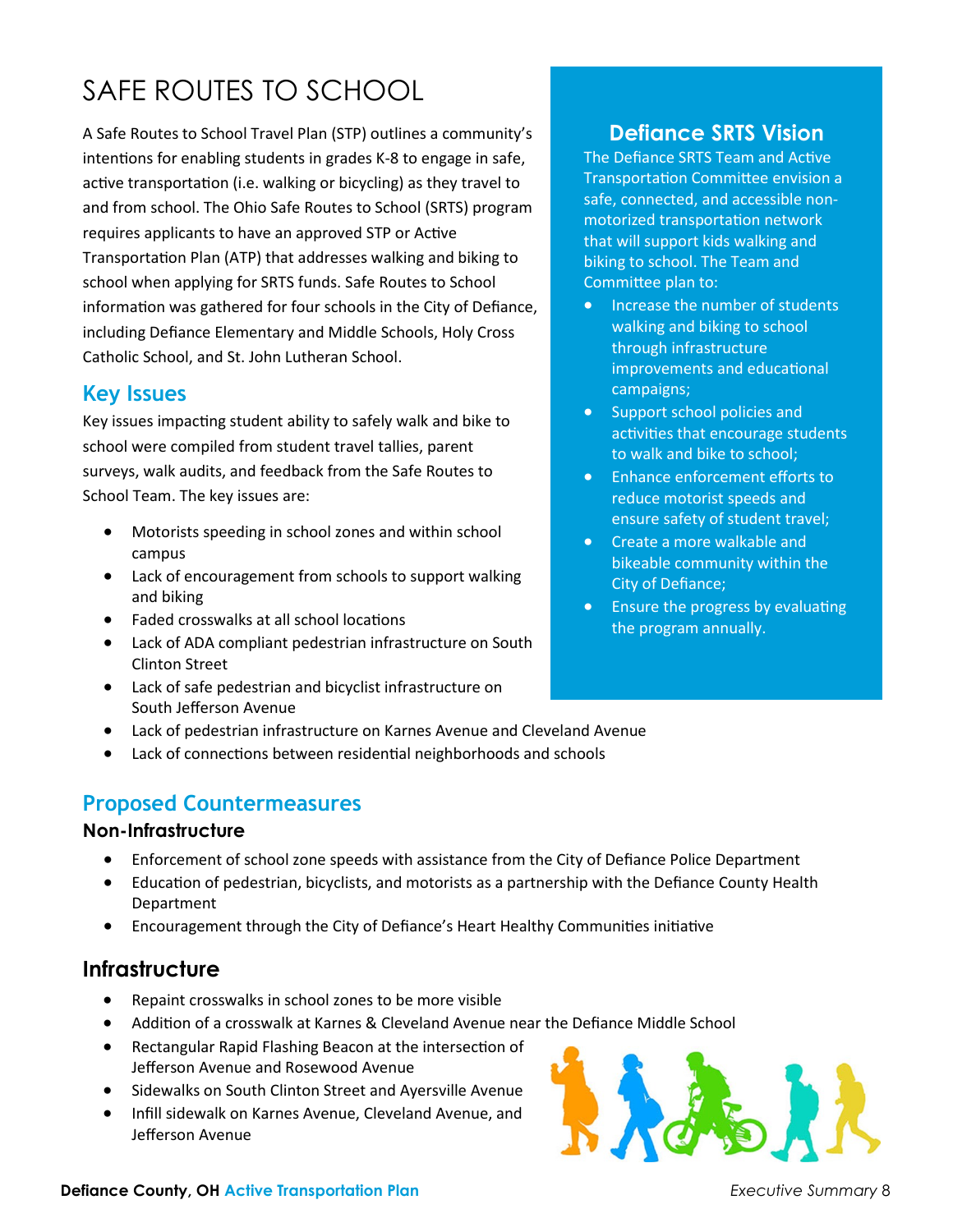# SAFE ROUTES TO SCHOOL

A Safe Routes to School Travel Plan (STP) outlines a community's intentions for enabling students in grades K-8 to engage in safe, active transportation (i.e. walking or bicycling) as they travel to and from school. The Ohio Safe Routes to School (SRTS) program requires applicants to have an approved STP or [Active](http://www.dot.state.oh.us/Divisions/Planning/SPR/bicycle/Documents/Final%20ODOT%20Active%20Transportation%20Plan%20Guide%2011-24-14.pdf)  [Transportation Plan \(ATP\)](http://www.dot.state.oh.us/Divisions/Planning/SPR/bicycle/Documents/Final%20ODOT%20Active%20Transportation%20Plan%20Guide%2011-24-14.pdf) that addresses walking and biking to school when applying for SRTS funds. Safe Routes to School information was gathered for four schools in the City of Defiance, including Defiance Elementary and Middle Schools, Holy Cross Catholic School, and St. John Lutheran School.

#### **Key Issues**

Key issues impacting student ability to safely walk and bike to school were compiled from student travel tallies, parent surveys, walk audits, and feedback from the Safe Routes to School Team. The key issues are:

- Motorists speeding in school zones and within school campus
- Lack of encouragement from schools to support walking and biking
- Faded crosswalks at all school locations
- Lack of ADA compliant pedestrian infrastructure on South Clinton Street
- Lack of safe pedestrian and bicyclist infrastructure on South Jefferson Avenue
- Lack of pedestrian infrastructure on Karnes Avenue and Cleveland Avenue
- Lack of connections between residential neighborhoods and schools

### **Proposed Countermeasures**

#### **Non-Infrastructure**

- Enforcement of school zone speeds with assistance from the City of Defiance Police Department
- Education of pedestrian, bicyclists, and motorists as a partnership with the Defiance County Health Department
- Encouragement through the City of Defiance's Heart Healthy Communities initiative

#### **Infrastructure**

- Repaint crosswalks in school zones to be more visible
- Addition of a crosswalk at Karnes & Cleveland Avenue near the Defiance Middle School
- Rectangular Rapid Flashing Beacon at the intersection of Jefferson Avenue and Rosewood Avenue
- Sidewalks on South Clinton Street and Ayersville Avenue
- Infill sidewalk on Karnes Avenue, Cleveland Avenue, and Jefferson Avenue



### **Defiance SRTS Vision**

The Defiance SRTS Team and Active Transportation Committee envision a safe, connected, and accessible nonmotorized transportation network that will support kids walking and biking to school. The Team and Committee plan to:

- Increase the number of students walking and biking to school through infrastructure improvements and educational campaigns;
- Support school policies and activities that encourage students to walk and bike to school;
- Enhance enforcement efforts to reduce motorist speeds and ensure safety of student travel;
- Create a more walkable and bikeable community within the City of Defiance;
- Ensure the progress by evaluating the program annually.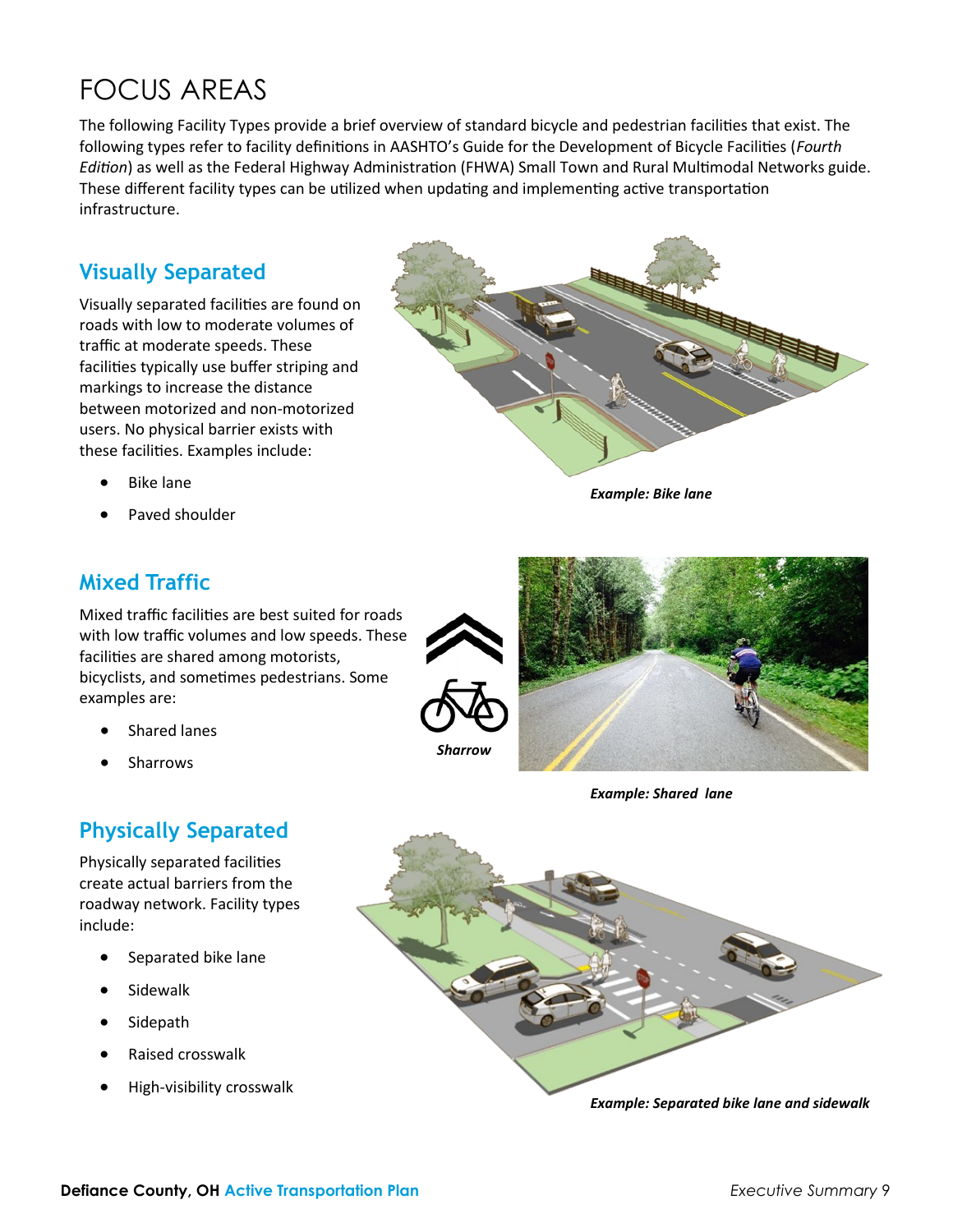# FOCUS AREAS

The following Facility Types provide a brief overview of standard bicycle and pedestrian facilities that exist. The following types refer to facility definitions in AASHTO's Guide for the Development of Bicycle Facilities (*Fourth Edition*) as well as the Federal Highway Administration (FHWA) Small Town and Rural Multimodal Networks guide. These different facility types can be utilized when updating and implementing active transportation infrastructure.

### **Visually Separated**

Visually separated facilities are found on roads with low to moderate volumes of traffic at moderate speeds. These facilities typically use buffer striping and markings to increase the distance between motorized and non-motorized users. No physical barrier exists with these facilities. Examples include:

- Bike lane
- Paved shoulder



*Example: Bike lane*

#### **Mixed Traffic**

Mixed traffic facilities are best suited for roads with low traffic volumes and low speeds. These facilities are shared among motorists, bicyclists, and sometimes pedestrians. Some examples are:

- Shared lanes
- **Sharrows**

### **Physically Separated**

Physically separated facilities create actual barriers from the roadway network. Facility types include:

- Separated bike lane
- **Sidewalk**
- **Sidepath**
- Raised crosswalk
- High-visibility crosswalk



*Example: Shared lane*

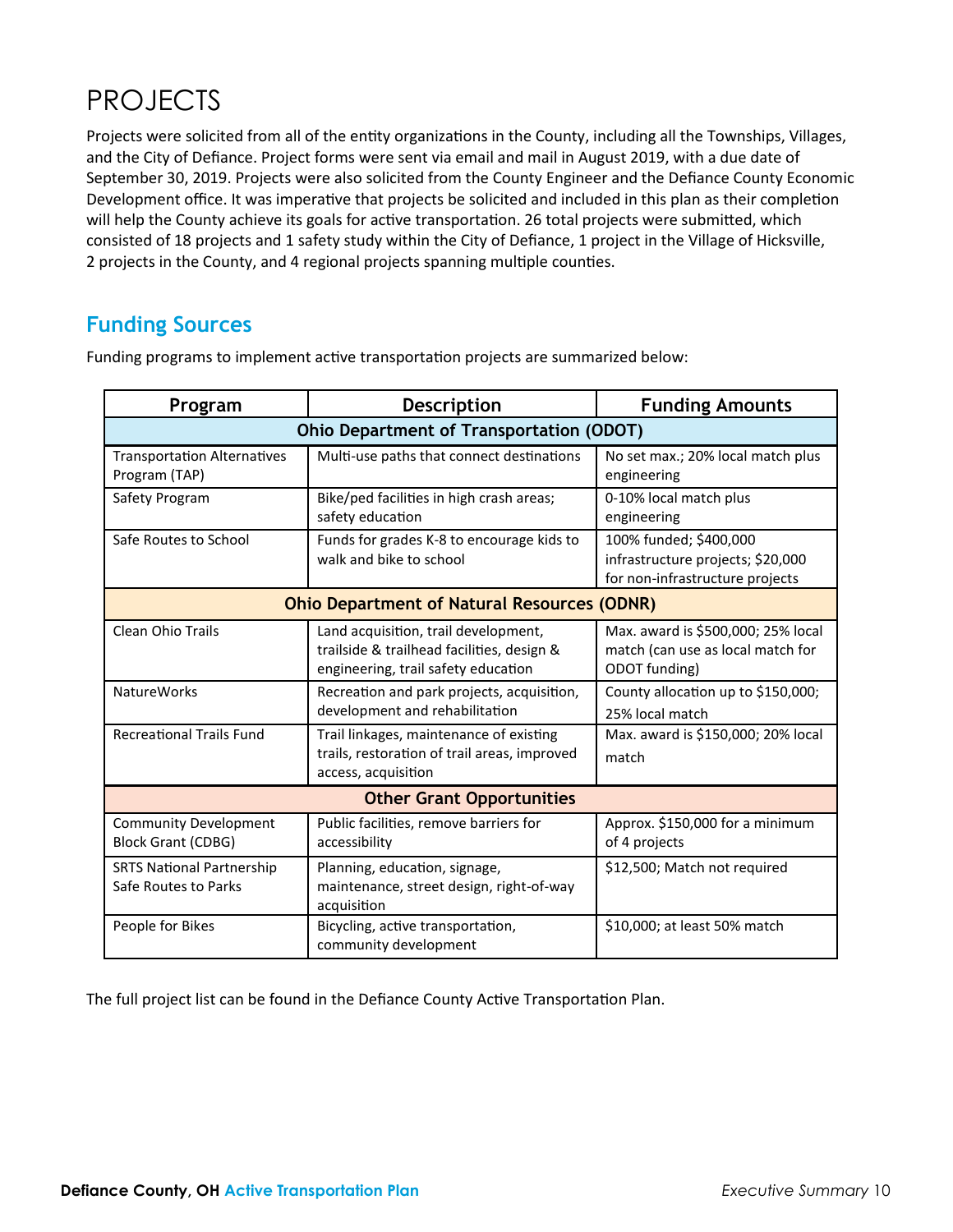# PROJECTS

Projects were solicited from all of the entity organizations in the County, including all the Townships, Villages, and the City of Defiance. Project forms were sent via email and mail in August 2019, with a due date of September 30, 2019. Projects were also solicited from the County Engineer and the Defiance County Economic Development office. It was imperative that projects be solicited and included in this plan as their completion will help the County achieve its goals for active transportation. 26 total projects were submitted, which consisted of 18 projects and 1 safety study within the City of Defiance, 1 project in the Village of Hicksville, 2 projects in the County, and 4 regional projects spanning multiple counties.

### **Funding Sources**

| Program                                                   | <b>Description</b>                                                                                                        | <b>Funding Amounts</b>                                                                         |
|-----------------------------------------------------------|---------------------------------------------------------------------------------------------------------------------------|------------------------------------------------------------------------------------------------|
| Ohio Department of Transportation (ODOT)                  |                                                                                                                           |                                                                                                |
| <b>Transportation Alternatives</b><br>Program (TAP)       | Multi-use paths that connect destinations                                                                                 | No set max.; 20% local match plus<br>engineering                                               |
| Safety Program                                            | Bike/ped facilities in high crash areas;<br>safety education                                                              | 0-10% local match plus<br>engineering                                                          |
| Safe Routes to School                                     | Funds for grades K-8 to encourage kids to<br>walk and bike to school                                                      | 100% funded; \$400,000<br>infrastructure projects; \$20,000<br>for non-infrastructure projects |
| <b>Ohio Department of Natural Resources (ODNR)</b>        |                                                                                                                           |                                                                                                |
| Clean Ohio Trails                                         | Land acquisition, trail development,<br>trailside & trailhead facilities, design &<br>engineering, trail safety education | Max. award is \$500,000; 25% local<br>match (can use as local match for<br>ODOT funding)       |
| <b>NatureWorks</b>                                        | Recreation and park projects, acquisition,<br>development and rehabilitation                                              | County allocation up to \$150,000;<br>25% local match                                          |
| <b>Recreational Trails Fund</b>                           | Trail linkages, maintenance of existing<br>trails, restoration of trail areas, improved<br>access, acquisition            | Max. award is \$150,000; 20% local<br>match                                                    |
| <b>Other Grant Opportunities</b>                          |                                                                                                                           |                                                                                                |
| <b>Community Development</b><br><b>Block Grant (CDBG)</b> | Public facilities, remove barriers for<br>accessibility                                                                   | Approx. \$150,000 for a minimum<br>of 4 projects                                               |
| <b>SRTS National Partnership</b><br>Safe Routes to Parks  | Planning, education, signage,<br>maintenance, street design, right-of-way<br>acquisition                                  | \$12,500; Match not required                                                                   |
| People for Bikes                                          | Bicycling, active transportation,<br>community development                                                                | \$10,000; at least 50% match                                                                   |

Funding programs to implement active transportation projects are summarized below:

The full project list can be found in the Defiance County Active Transportation Plan.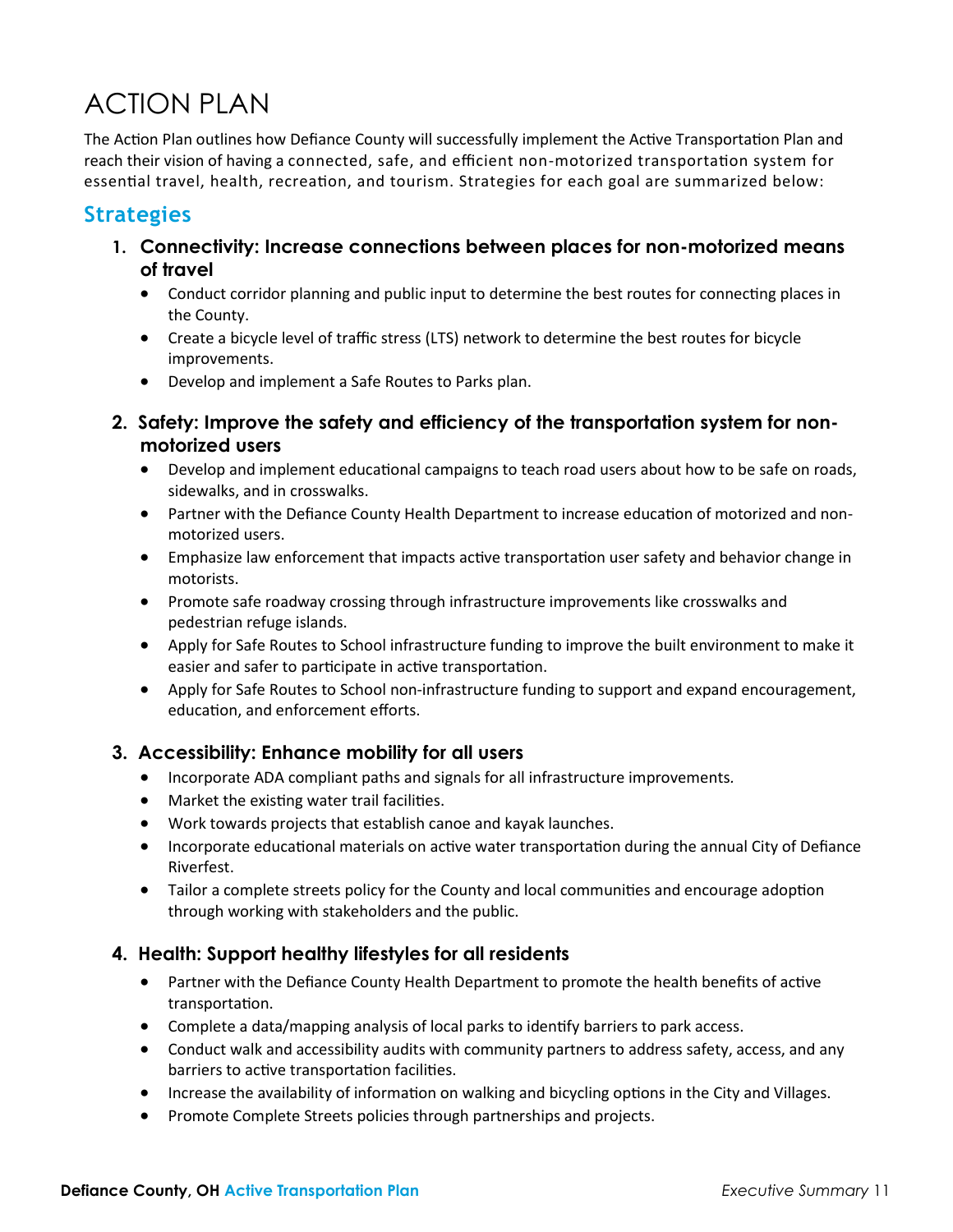# ACTION PLAN

The Action Plan outlines how Defiance County will successfully implement the Active Transportation Plan and reach their vision of having a connected, safe, and efficient non-motorized transportation system for essential travel, health, recreation, and tourism. Strategies for each goal are summarized below:

#### **Strategies**

- **1. Connectivity: Increase connections between places for non-motorized means of travel**
	- Conduct corridor planning and public input to determine the best routes for connecting places in the County.
	- Create a bicycle level of traffic stress (LTS) network to determine the best routes for bicycle improvements.
	- Develop and implement a Safe Routes to Parks plan.
- **2. Safety: Improve the safety and efficiency of the transportation system for nonmotorized users**
	- Develop and implement educational campaigns to teach road users about how to be safe on roads, sidewalks, and in crosswalks.
	- Partner with the Defiance County Health Department to increase education of motorized and nonmotorized users.
	- Emphasize law enforcement that impacts active transportation user safety and behavior change in motorists.
	- Promote safe roadway crossing through infrastructure improvements like crosswalks and pedestrian refuge islands.
	- Apply for Safe Routes to School infrastructure funding to improve the built environment to make it easier and safer to participate in active transportation.
	- Apply for Safe Routes to School non-infrastructure funding to support and expand encouragement, education, and enforcement efforts.

#### **3. Accessibility: Enhance mobility for all users**

- Incorporate ADA compliant paths and signals for all infrastructure improvements*.*
- Market the existing water trail facilities.
- Work towards projects that establish canoe and kayak launches.
- Incorporate educational materials on active water transportation during the annual City of Defiance Riverfest.
- Tailor a complete streets policy for the County and local communities and encourage adoption through working with stakeholders and the public.

#### **4. Health: Support healthy lifestyles for all residents**

- Partner with the Defiance County Health Department to promote the health benefits of active transportation.
- Complete a data/mapping analysis of local parks to identify barriers to park access.
- Conduct walk and accessibility audits with community partners to address safety, access, and any barriers to active transportation facilities.
- Increase the availability of information on walking and bicycling options in the City and Villages.
- Promote Complete Streets policies through partnerships and projects.